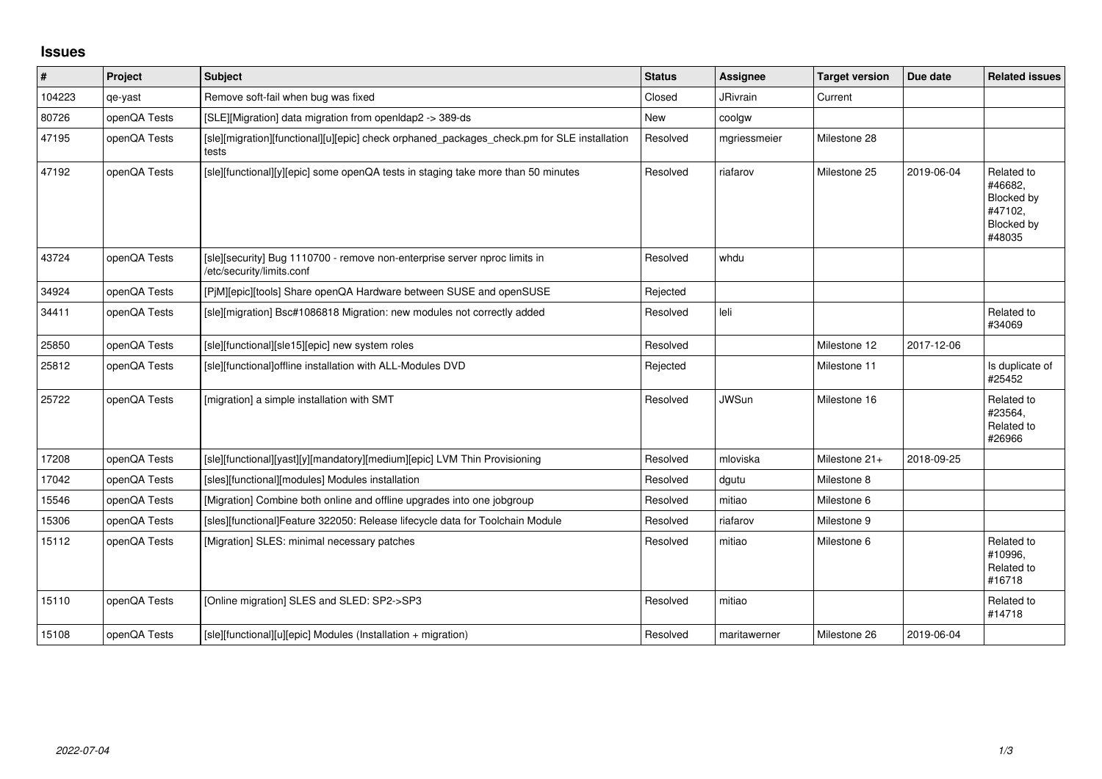## **Issues**

| $\vert$ # | Project      | Subject                                                                                                 | <b>Status</b> | <b>Assignee</b> | <b>Target version</b> | Due date   | <b>Related issues</b>                                                  |
|-----------|--------------|---------------------------------------------------------------------------------------------------------|---------------|-----------------|-----------------------|------------|------------------------------------------------------------------------|
| 104223    | qe-yast      | Remove soft-fail when bug was fixed                                                                     | Closed        | <b>JRivrain</b> | Current               |            |                                                                        |
| 80726     | openQA Tests | [SLE][Migration] data migration from openIdap2 -> 389-ds                                                | <b>New</b>    | coolgw          |                       |            |                                                                        |
| 47195     | openQA Tests | [sle][migration][functional][u][epic] check orphaned packages_check.pm for SLE installation<br>tests    | Resolved      | mgriessmeier    | Milestone 28          |            |                                                                        |
| 47192     | openQA Tests | [sle][functional][y][epic] some openQA tests in staging take more than 50 minutes                       | Resolved      | riafarov        | Milestone 25          | 2019-06-04 | Related to<br>#46682.<br>Blocked by<br>#47102,<br>Blocked by<br>#48035 |
| 43724     | openQA Tests | [sle][security] Bug 1110700 - remove non-enterprise server nproc limits in<br>/etc/security/limits.conf | Resolved      | whdu            |                       |            |                                                                        |
| 34924     | openQA Tests | [P M][epic][tools] Share openQA Hardware between SUSE and openSUSE                                      | Rejected      |                 |                       |            |                                                                        |
| 34411     | openQA Tests | [sle][migration] Bsc#1086818 Migration: new modules not correctly added                                 | Resolved      | leli            |                       |            | Related to<br>#34069                                                   |
| 25850     | openQA Tests | [sle][functional][sle15][epic] new system roles                                                         | Resolved      |                 | Milestone 12          | 2017-12-06 |                                                                        |
| 25812     | openQA Tests | [sle][functional]offline installation with ALL-Modules DVD                                              | Rejected      |                 | Milestone 11          |            | Is duplicate of<br>#25452                                              |
| 25722     | openQA Tests | [migration] a simple installation with SMT                                                              | Resolved      | <b>JWSun</b>    | Milestone 16          |            | Related to<br>#23564,<br>Related to<br>#26966                          |
| 17208     | openQA Tests | [sle][functional][yast][y][mandatory][medium][epic] LVM Thin Provisioning                               | Resolved      | mloviska        | Milestone 21+         | 2018-09-25 |                                                                        |
| 17042     | openQA Tests | [sles][functional][modules] Modules installation                                                        | Resolved      | dgutu           | Milestone 8           |            |                                                                        |
| 15546     | openQA Tests | [Migration] Combine both online and offline upgrades into one jobgroup                                  | Resolved      | mitiao          | Milestone 6           |            |                                                                        |
| 15306     | openQA Tests | [sles][functional]Feature 322050: Release lifecycle data for Toolchain Module                           | Resolved      | riafarov        | Milestone 9           |            |                                                                        |
| 15112     | openQA Tests | [Migration] SLES: minimal necessary patches                                                             | Resolved      | mitiao          | Milestone 6           |            | Related to<br>#10996,<br>Related to<br>#16718                          |
| 15110     | openQA Tests | [Online migration] SLES and SLED: SP2->SP3                                                              | Resolved      | mitiao          |                       |            | Related to<br>#14718                                                   |
| 15108     | openQA Tests | [sle][functional][u][epic] Modules (Installation + migration)                                           | Resolved      | maritawerner    | Milestone 26          | 2019-06-04 |                                                                        |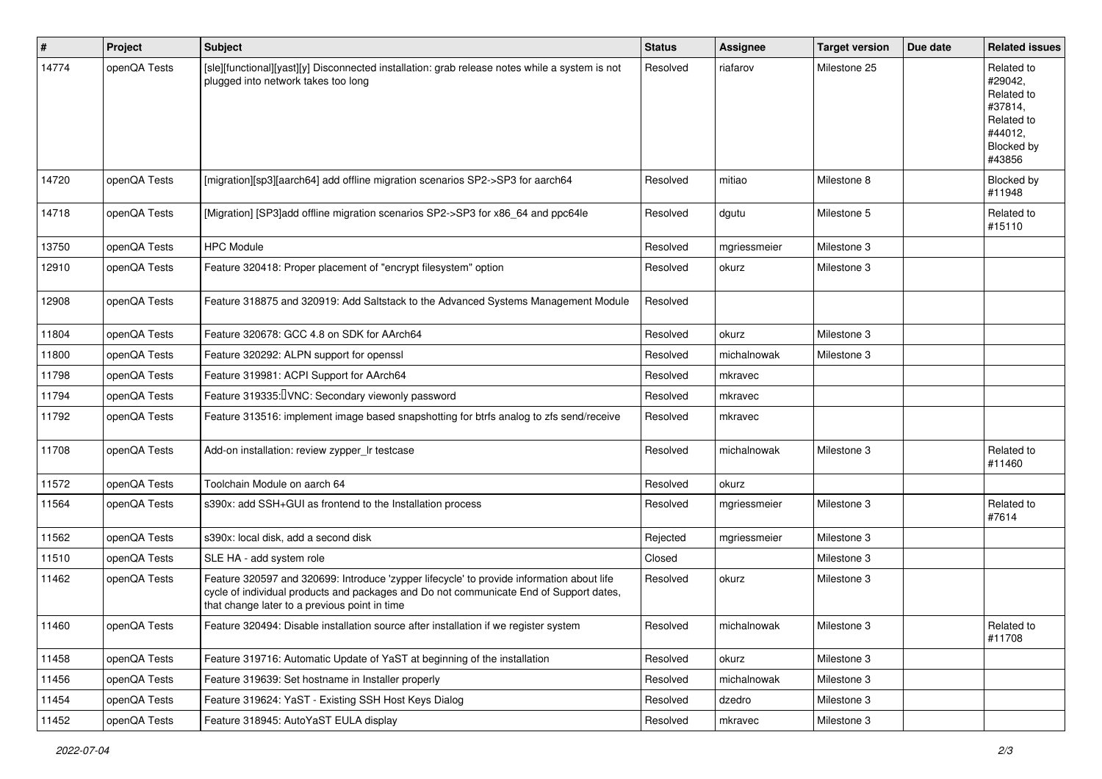| #     | Project      | Subject                                                                                                                                                                                                                              | <b>Status</b> | <b>Assignee</b> | <b>Target version</b> | Due date | <b>Related issues</b>                                                                           |
|-------|--------------|--------------------------------------------------------------------------------------------------------------------------------------------------------------------------------------------------------------------------------------|---------------|-----------------|-----------------------|----------|-------------------------------------------------------------------------------------------------|
| 14774 | openQA Tests | [sle][functional][yast][y] Disconnected installation: grab release notes while a system is not<br>plugged into network takes too long                                                                                                | Resolved      | riafarov        | Milestone 25          |          | Related to<br>#29042,<br>Related to<br>#37814,<br>Related to<br>#44012.<br>Blocked by<br>#43856 |
| 14720 | openQA Tests | [migration][sp3][aarch64] add offline migration scenarios SP2->SP3 for aarch64                                                                                                                                                       | Resolved      | mitiao          | Milestone 8           |          | Blocked by<br>#11948                                                                            |
| 14718 | openQA Tests | [Migration] [SP3]add offline migration scenarios SP2->SP3 for x86_64 and ppc64le                                                                                                                                                     | Resolved      | dgutu           | Milestone 5           |          | Related to<br>#15110                                                                            |
| 13750 | openQA Tests | <b>HPC Module</b>                                                                                                                                                                                                                    | Resolved      | mgriessmeier    | Milestone 3           |          |                                                                                                 |
| 12910 | openQA Tests | Feature 320418: Proper placement of "encrypt filesystem" option                                                                                                                                                                      | Resolved      | okurz           | Milestone 3           |          |                                                                                                 |
| 12908 | openQA Tests | Feature 318875 and 320919: Add Saltstack to the Advanced Systems Management Module                                                                                                                                                   | Resolved      |                 |                       |          |                                                                                                 |
| 11804 | openQA Tests | Feature 320678: GCC 4.8 on SDK for AArch64                                                                                                                                                                                           | Resolved      | okurz           | Milestone 3           |          |                                                                                                 |
| 11800 | openQA Tests | Feature 320292: ALPN support for openssl                                                                                                                                                                                             | Resolved      | michalnowak     | Milestone 3           |          |                                                                                                 |
| 11798 | openQA Tests | Feature 319981: ACPI Support for AArch64                                                                                                                                                                                             | Resolved      | mkravec         |                       |          |                                                                                                 |
| 11794 | openQA Tests | Feature 319335: VNC: Secondary viewonly password                                                                                                                                                                                     | Resolved      | mkravec         |                       |          |                                                                                                 |
| 11792 | openQA Tests | Feature 313516: implement image based snapshotting for btrfs analog to zfs send/receive                                                                                                                                              | Resolved      | mkravec         |                       |          |                                                                                                 |
| 11708 | openQA Tests | Add-on installation: review zypper_Ir testcase                                                                                                                                                                                       | Resolved      | michalnowak     | Milestone 3           |          | Related to<br>#11460                                                                            |
| 11572 | openQA Tests | Toolchain Module on aarch 64                                                                                                                                                                                                         | Resolved      | okurz           |                       |          |                                                                                                 |
| 11564 | openQA Tests | s390x: add SSH+GUI as frontend to the Installation process                                                                                                                                                                           | Resolved      | mgriessmeier    | Milestone 3           |          | Related to<br>#7614                                                                             |
| 11562 | openQA Tests | s390x: local disk, add a second disk                                                                                                                                                                                                 | Rejected      | mgriessmeier    | Milestone 3           |          |                                                                                                 |
| 11510 | openQA Tests | SLE HA - add system role                                                                                                                                                                                                             | Closed        |                 | Milestone 3           |          |                                                                                                 |
| 11462 | openQA Tests | Feature 320597 and 320699: Introduce 'zypper lifecycle' to provide information about life<br>cycle of individual products and packages and Do not communicate End of Support dates,<br>that change later to a previous point in time | Resolved      | okurz           | Milestone 3           |          |                                                                                                 |
| 11460 | openQA Tests | Feature 320494: Disable installation source after installation if we register system                                                                                                                                                 | Resolved      | michalnowak     | Milestone 3           |          | Related to<br>#11708                                                                            |
| 11458 | openQA Tests | Feature 319716: Automatic Update of YaST at beginning of the installation                                                                                                                                                            | Resolved      | okurz           | Milestone 3           |          |                                                                                                 |
| 11456 | openQA Tests | Feature 319639: Set hostname in Installer properly                                                                                                                                                                                   | Resolved      | michalnowak     | Milestone 3           |          |                                                                                                 |
| 11454 | openQA Tests | Feature 319624: YaST - Existing SSH Host Keys Dialog                                                                                                                                                                                 | Resolved      | dzedro          | Milestone 3           |          |                                                                                                 |
| 11452 | openQA Tests | Feature 318945: AutoYaST EULA display                                                                                                                                                                                                | Resolved      | mkravec         | Milestone 3           |          |                                                                                                 |